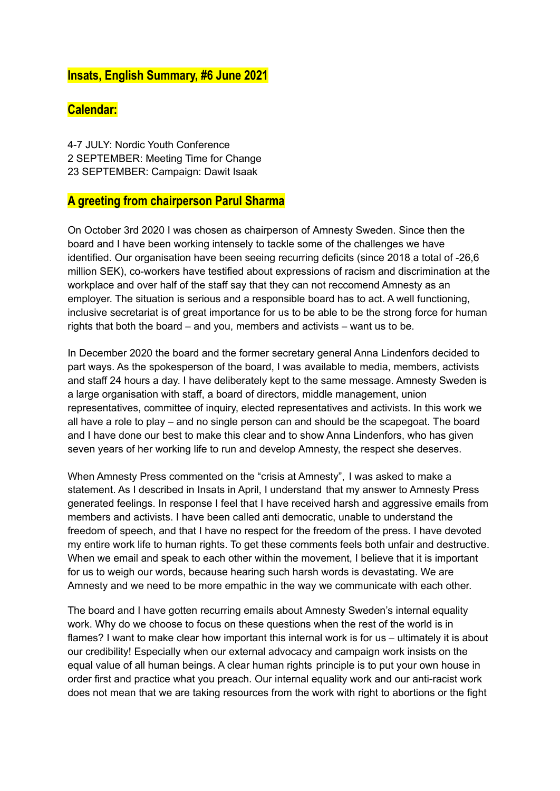## **Insats, English Summary, #6 June 2021**

# **Calendar:**

4-7 JULY: Nordic Youth Conference 2 SEPTEMBER: Meeting Time for Change 23 SEPTEMBER: Campaign: Dawit Isaak

## **A greeting from chairperson Parul Sharma**

On October 3rd 2020 I was chosen as chairperson of Amnesty Sweden. Since then the board and I have been working intensely to tackle some of the challenges we have identified. Our organisation have been seeing recurring deficits (since 2018 a total of -26,6 million SEK), co-workers have testified about expressions of racism and discrimination at the workplace and over half of the staff say that they can not reccomend Amnesty as an employer. The situation is serious and a responsible board has to act. A well functioning, inclusive secretariat is of great importance for us to be able to be the strong force for human rights that both the board – and you, members and activists – want us to be.

In December 2020 the board and the former secretary general Anna Lindenfors decided to part ways. As the spokesperson of the board, I was available to media, members, activists and staff 24 hours a day. I have deliberately kept to the same message. Amnesty Sweden is a large organisation with staff, a board of directors, middle management, union representatives, committee of inquiry, elected representatives and activists. In this work we all have a role to play – and no single person can and should be the scapegoat. The board and I have done our best to make this clear and to show Anna Lindenfors, who has given seven years of her working life to run and develop Amnesty, the respect she deserves.

When Amnesty Press commented on the "crisis at Amnesty", I was asked to make a statement. As I described in Insats in April, I understand that my answer to Amnesty Press generated feelings. In response I feel that I have received harsh and aggressive emails from members and activists. I have been called anti democratic, unable to understand the freedom of speech, and that I have no respect for the freedom of the press. I have devoted my entire work life to human rights. To get these comments feels both unfair and destructive. When we email and speak to each other within the movement, I believe that it is important for us to weigh our words, because hearing such harsh words is devastating. We are Amnesty and we need to be more empathic in the way we communicate with each other.

The board and I have gotten recurring emails about Amnesty Sweden's internal equality work. Why do we choose to focus on these questions when the rest of the world is in flames? I want to make clear how important this internal work is for us – ultimately it is about our credibility! Especially when our external advocacy and campaign work insists on the equal value of all human beings. A clear human rights principle is to put your own house in order first and practice what you preach. Our internal equality work and our anti-racist work does not mean that we are taking resources from the work with right to abortions or the fight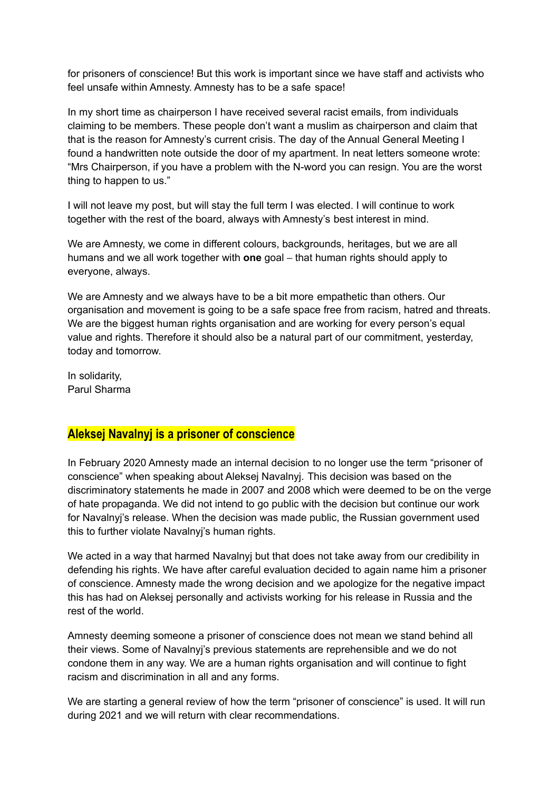for prisoners of conscience! But this work is important since we have staff and activists who feel unsafe within Amnesty. Amnesty has to be a safe space!

In my short time as chairperson I have received several racist emails, from individuals claiming to be members. These people don't want a muslim as chairperson and claim that that is the reason for Amnesty's current crisis. The day of the Annual General Meeting I found a handwritten note outside the door of my apartment. In neat letters someone wrote: "Mrs Chairperson, if you have a problem with the N-word you can resign. You are the worst thing to happen to us."

I will not leave my post, but will stay the full term I was elected. I will continue to work together with the rest of the board, always with Amnesty's best interest in mind.

We are Amnesty, we come in different colours, backgrounds, heritages, but we are all humans and we all work together with **one** goal – that human rights should apply to everyone, always.

We are Amnesty and we always have to be a bit more empathetic than others. Our organisation and movement is going to be a safe space free from racism, hatred and threats. We are the biggest human rights organisation and are working for every person's equal value and rights. Therefore it should also be a natural part of our commitment, yesterday, today and tomorrow.

In solidarity, Parul Sharma

# **Aleksej Navalnyj is a prisoner of conscience**

In February 2020 Amnesty made an internal decision to no longer use the term "prisoner of conscience" when speaking about Aleksej Navalnyj. This decision was based on the discriminatory statements he made in 2007 and 2008 which were deemed to be on the verge of hate propaganda. We did not intend to go public with the decision but continue our work for Navalnyj's release. When the decision was made public, the Russian government used this to further violate Navalnyj's human rights.

We acted in a way that harmed Navalnyj but that does not take away from our credibility in defending his rights. We have after careful evaluation decided to again name him a prisoner of conscience. Amnesty made the wrong decision and we apologize for the negative impact this has had on Aleksej personally and activists working for his release in Russia and the rest of the world.

Amnesty deeming someone a prisoner of conscience does not mean we stand behind all their views. Some of Navalnyj's previous statements are reprehensible and we do not condone them in any way. We are a human rights organisation and will continue to fight racism and discrimination in all and any forms.

We are starting a general review of how the term "prisoner of conscience" is used. It will run during 2021 and we will return with clear recommendations.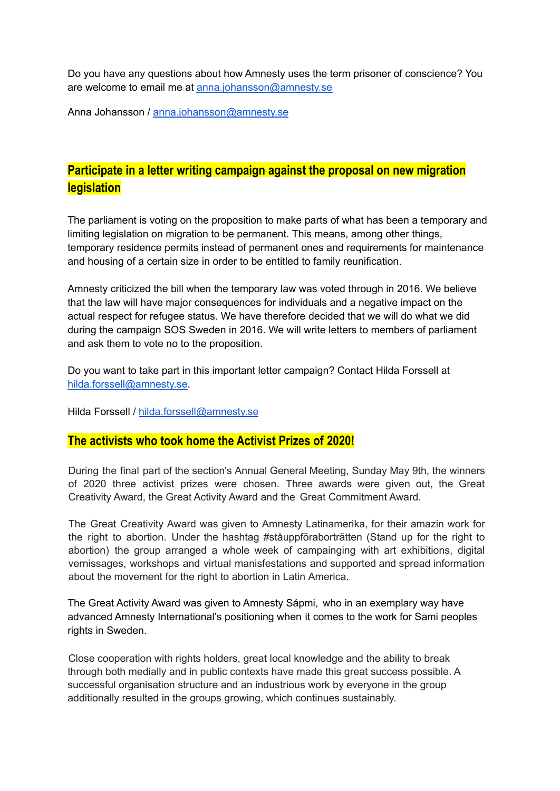Do you have any questions about how Amnesty uses the term prisoner of conscience? You are welcome to email me at [anna.johansson@amnesty.se](mailto:anna.johansson@amnesty.se)

Anna Johansson / [anna.johansson@amnesty.se](mailto:anna.johansson@amnesty.se)

# **Participate in a letter writing campaign against the proposal on new migration legislation**

The parliament is voting on the proposition to make parts of what has been a temporary and limiting legislation on migration to be permanent. This means, among other things, temporary residence permits instead of permanent ones and requirements for maintenance and housing of a certain size in order to be entitled to family reunification.

Amnesty criticized the bill when the temporary law was voted through in 2016. We believe that the law will have major consequences for individuals and a negative impact on the actual respect for refugee status. We have therefore decided that we will do what we did during the campaign SOS Sweden in 2016. We will write letters to members of parliament and ask them to vote no to the proposition.

Do you want to take part in this important letter campaign? Contact Hilda Forssell at [hilda.forssell@amnesty.se.](mailto:hilda.forssell@amnesty.se)

Hilda Forssell / [hilda.forssell@amnesty.se](mailto:hilda.forssell@amnesty.se)

## **The activists who took home the Activist Prizes of 2020!**

During the final part of the section's Annual General Meeting, Sunday May 9th, the winners of 2020 three activist prizes were chosen. Three awards were given out, the Great Creativity Award, the Great Activity Award and the Great Commitment Award.

The Great Creativity Award was given to Amnesty Latinamerika, for their amazin work for the right to abortion. Under the hashtag #ståuppföraborträtten (Stand up for the right to abortion) the group arranged a whole week of campainging with art exhibitions, digital vernissages, workshops and virtual manisfestations and supported and spread information about the movement for the right to abortion in Latin America.

The Great Activity Award was given to Amnesty Sápmi, who in an exemplary way have advanced Amnesty International's positioning when it comes to the work for Sami peoples rights in Sweden.

Close cooperation with rights holders, great local knowledge and the ability to break through both medially and in public contexts have made this great success possible. A successful organisation structure and an industrious work by everyone in the group additionally resulted in the groups growing, which continues sustainably.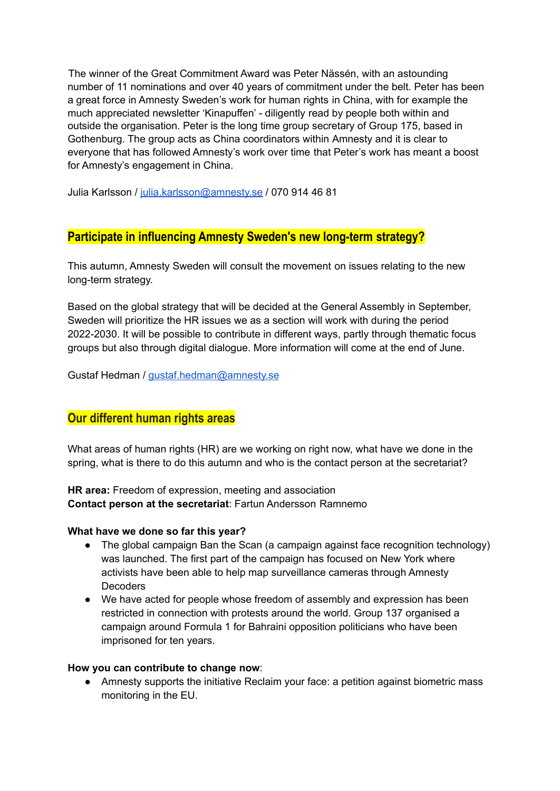The winner of the Great Commitment Award was Peter Nässén, with an astounding number of 11 nominations and over 40 years of commitment under the belt. Peter has been a great force in Amnesty Sweden's work for human rights in China, with for example the much appreciated newsletter 'Kinapuffen' - diligently read by people both within and outside the organisation. Peter is the long time group secretary of Group 175, based in Gothenburg. The group acts as China coordinators within Amnesty and it is clear to everyone that has followed Amnesty's work over time that Peter's work has meant a boost for Amnesty's engagement in China.

Julia Karlsson / [julia.karlsson@amnesty.se](mailto:julia.karlsson@amnesty.se) / 070 914 46 81

# **Participate in influencing Amnesty Sweden's new long-term strategy?**

This autumn, Amnesty Sweden will consult the movement on issues relating to the new long-term strategy.

Based on the global strategy that will be decided at the General Assembly in September, Sweden will prioritize the HR issues we as a section will work with during the period 2022-2030. It will be possible to contribute in different ways, partly through thematic focus groups but also through digital dialogue. More information will come at the end of June.

Gustaf Hedman / [gustaf.hedman@amnesty.se](mailto:gustaf.hedman@amnesty.se)

## **Our different human rights areas**

What areas of human rights (HR) are we working on right now, what have we done in the spring, what is there to do this autumn and who is the contact person at the secretariat?

**HR area:** Freedom of expression, meeting and association **Contact person at the secretariat**: Fartun Andersson Ramnemo

#### **What have we done so far this year?**

- The global campaign Ban the Scan (a campaign against face recognition technology) was launched. The first part of the campaign has focused on New York where activists have been able to help map surveillance cameras through Amnesty **Decoders**
- We have acted for people whose freedom of assembly and expression has been restricted in connection with protests around the world. Group 137 organised a campaign around Formula 1 for Bahraini opposition politicians who have been imprisoned for ten years.

#### **How you can contribute to change now**:

• Amnesty supports the initiative Reclaim your face: a petition against biometric mass monitoring in the EU.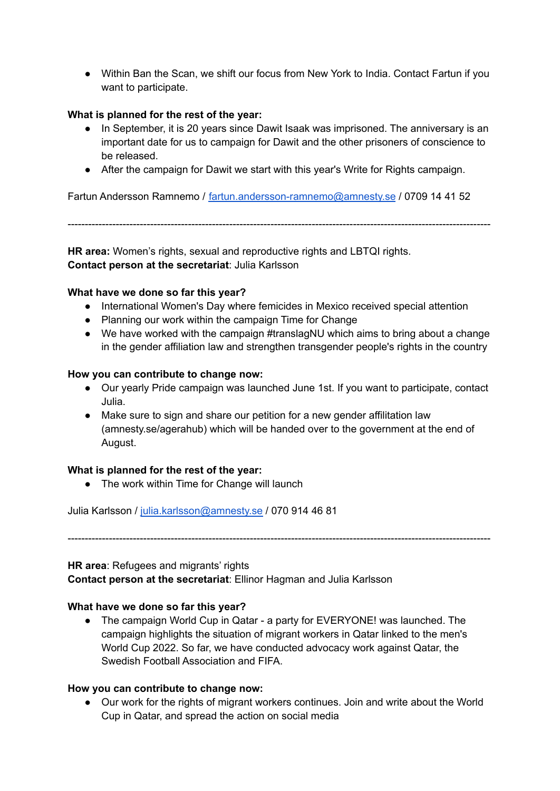● Within Ban the Scan, we shift our focus from New York to India. Contact Fartun if you want to participate.

## **What is planned for the rest of the year:**

- In September, it is 20 years since Dawit Isaak was imprisoned. The anniversary is an important date for us to campaign for Dawit and the other prisoners of conscience to be released.
- After the campaign for Dawit we start with this year's Write for Rights campaign.

Fartun Andersson Ramnemo / [fartun.andersson-ramnemo@amnesty.se](mailto:fartun.andersson-ramnemo@amnesty.se) / 0709 14 41 52

---------------------------------------------------------------------------------------------------------------------------

**HR area:** Women's rights, sexual and reproductive rights and LBTQI rights. **Contact person at the secretariat**: Julia Karlsson

### **What have we done so far this year?**

- International Women's Day where femicides in Mexico received special attention
- Planning our work within the campaign Time for Change
- We have worked with the campaign #translagNU which aims to bring about a change in the gender affiliation law and strengthen transgender people's rights in the country

### **How you can contribute to change now:**

- Our yearly Pride campaign was launched June 1st. If you want to participate, contact Julia.
- Make sure to sign and share our petition for a new gender affilitation law (amnesty.se/agerahub) which will be handed over to the government at the end of August.

### **What is planned for the rest of the year:**

● The work within Time for Change will launch

Julia Karlsson / [julia.karlsson@amnesty.se](mailto:julia.karlsson@amnesty.se) / 070 914 46 81

---------------------------------------------------------------------------------------------------------------------------

### **HR area**: Refugees and migrants' rights

**Contact person at the secretariat**: Ellinor Hagman and Julia Karlsson

### **What have we done so far this year?**

● The campaign World Cup in Qatar - a party for EVERYONE! was launched. The campaign highlights the situation of migrant workers in Qatar linked to the men's World Cup 2022. So far, we have conducted advocacy work against Qatar, the Swedish Football Association and FIFA.

### **How you can contribute to change now:**

● Our work for the rights of migrant workers continues. Join and write about the World Cup in Qatar, and spread the action on social media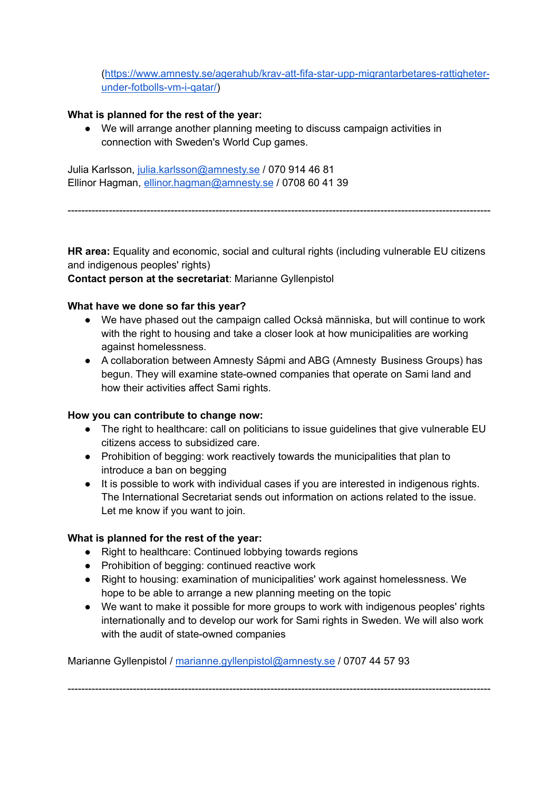([https://www.amnesty.se/agerahub/krav-att-fifa-star-upp-migrantarbetares-rattigheter](https://www.amnesty.se/agerahub/krav-att-fifa-star-upp-migrantarbetares-rattigheter-under-fotbolls-vm-i-qatar/)[under-fotbolls-vm-i-qatar/\)](https://www.amnesty.se/agerahub/krav-att-fifa-star-upp-migrantarbetares-rattigheter-under-fotbolls-vm-i-qatar/)

## **What is planned for the rest of the year:**

● We will arrange another planning meeting to discuss campaign activities in connection with Sweden's World Cup games.

Julia Karlsson, [julia.karlsson@amnesty.se](mailto:julia.karlsson@amnesty.se) / 070 914 46 81 Ellinor Hagman, [ellinor.hagman@amnesty.se](mailto:ellinor.hagman@amnesty.se) / 0708 60 41 39

---------------------------------------------------------------------------------------------------------------------------

**HR area:** Equality and economic, social and cultural rights (including vulnerable EU citizens and indigenous peoples' rights)

### **Contact person at the secretariat**: Marianne Gyllenpistol

### **What have we done so far this year?**

- We have phased out the campaign called Också människa, but will continue to work with the right to housing and take a closer look at how municipalities are working against homelessness.
- A collaboration between Amnesty Sápmi and ABG (Amnesty Business Groups) has begun. They will examine state-owned companies that operate on Sami land and how their activities affect Sami rights.

### **How you can contribute to change now:**

- The right to healthcare: call on politicians to issue quidelines that give vulnerable EU citizens access to subsidized care.
- Prohibition of begging: work reactively towards the municipalities that plan to introduce a ban on begging
- It is possible to work with individual cases if you are interested in indigenous rights. The International Secretariat sends out information on actions related to the issue. Let me know if you want to join.

## **What is planned for the rest of the year:**

- Right to healthcare: Continued lobbying towards regions
- Prohibition of begging: continued reactive work
- Right to housing: examination of municipalities' work against homelessness. We hope to be able to arrange a new planning meeting on the topic
- We want to make it possible for more groups to work with indigenous peoples' rights internationally and to develop our work for Sami rights in Sweden. We will also work with the audit of state-owned companies

---------------------------------------------------------------------------------------------------------------------------

Marianne Gyllenpistol / [marianne.gyllenpistol@amnesty.se](mailto:marianne.gyllenpistol@amnesty.se) / 0707 44 57 93